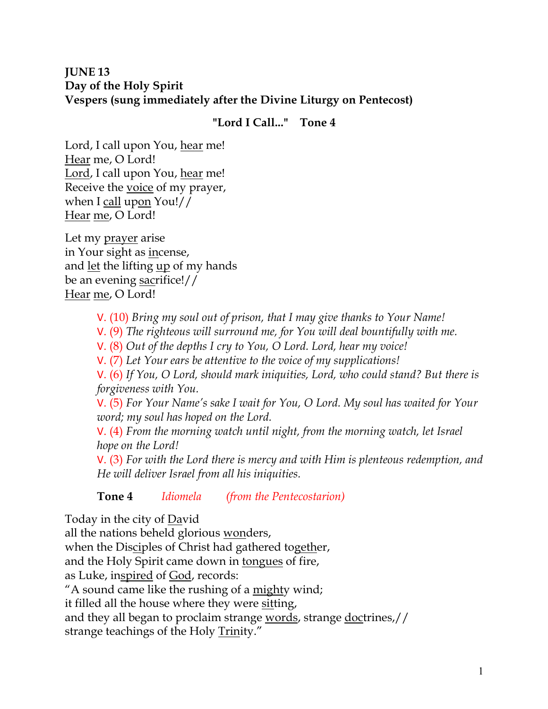# **JUNE 13 Day of the Holy Spirit Vespers (sung immediately after the Divine Liturgy on Pentecost)**

# **"Lord I Call..." Tone 4**

Lord, I call upon You, hear me! Hear me, O Lord! Lord, I call upon You, hear me! Receive the voice of my prayer, when I call upon You!// Hear me, O Lord!

Let my prayer arise in Your sight as incense, and let the lifting up of my hands be an evening sacrifice!// Hear me, O Lord!

- V. (10) *Bring my soul out of prison, that I may give thanks to Your Name!*
- V. (9) *The righteous will surround me, for You will deal bountifully with me.*
- V. (8) *Out of the depths I cry to You, O Lord. Lord, hear my voice!*

V. (7) *Let Your ears be attentive to the voice of my supplications!*

V. (6) *If You, O Lord, should mark iniquities, Lord, who could stand? But there is forgiveness with You.* 

V. (5) *For Your Name's sake I wait for You, O Lord. My soul has waited for Your word; my soul has hoped on the Lord.* 

V. (4) *From the morning watch until night, from the morning watch, let Israel hope on the Lord!* 

V. (3) *For with the Lord there is mercy and with Him is plenteous redemption, and He will deliver Israel from all his iniquities.*

**Tone 4** *Idiomela (from the Pentecostarion)*

Today in the city of David

all the nations beheld glorious wonders,

when the Disciples of Christ had gathered together,

and the Holy Spirit came down in tongues of fire,

as Luke, inspired of God, records:

"A sound came like the rushing of a mighty wind;

it filled all the house where they were sitting,

and they all began to proclaim strange words, strange doctrines,// strange teachings of the Holy Trinity."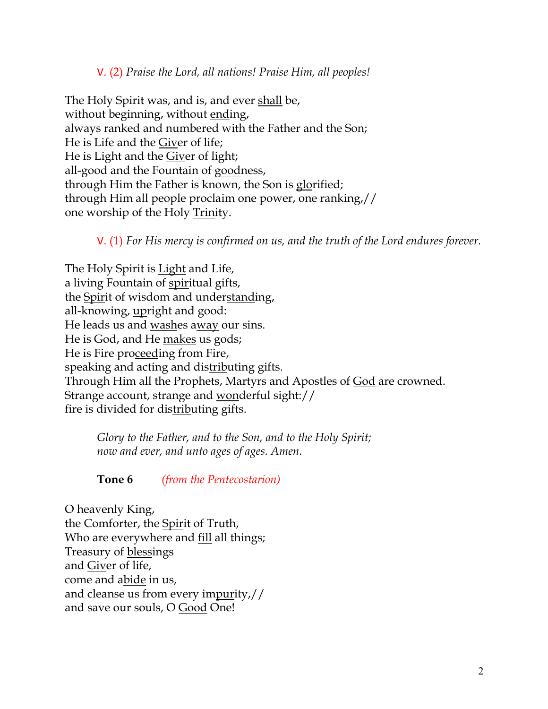## V. (2) *Praise the Lord, all nations! Praise Him, all peoples!*

The Holy Spirit was, and is, and ever shall be, without beginning, without ending, always ranked and numbered with the Father and the Son; He is Life and the Giver of life; He is Light and the Giver of light; all-good and the Fountain of goodness, through Him the Father is known, the Son is glorified; through Him all people proclaim one power, one ranking,// one worship of the Holy Trinity.

V. (1) *For His mercy is confirmed on us, and the truth of the Lord endures forever.* 

The Holy Spirit is **Light** and Life, a living Fountain of spiritual gifts, the Spirit of wisdom and understanding, all-knowing, upright and good: He leads us and washes away our sins. He is God, and He makes us gods; He is Fire proceeding from Fire, speaking and acting and distributing gifts. Through Him all the Prophets, Martyrs and Apostles of God are crowned. Strange account, strange and wonderful sight:// fire is divided for distributing gifts.

*Glory to the Father, and to the Son, and to the Holy Spirit; now and ever, and unto ages of ages. Amen.* 

**Tone 6** *(from the Pentecostarion)*

O heavenly King, the Comforter, the Spirit of Truth, Who are everywhere and fill all things; Treasury of blessings and Giver of life, come and abide in us, and cleanse us from every impurity,// and save our souls, O Good One!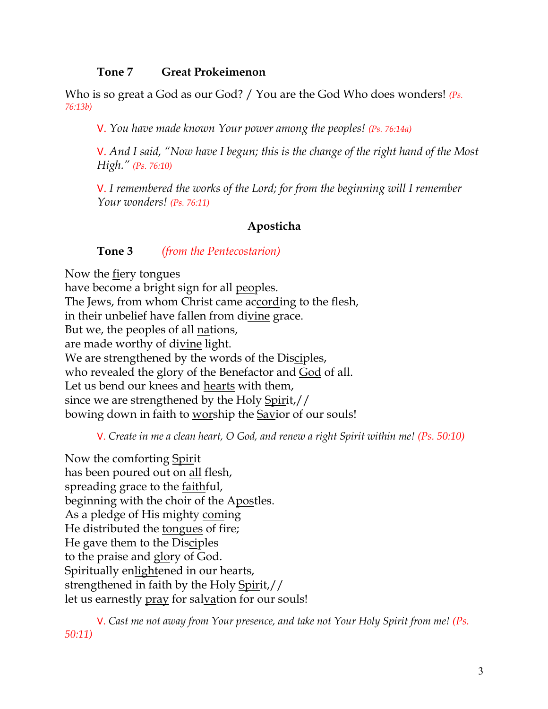#### **Tone 7 Great Prokeimenon**

Who is so great a God as our God? / You are the God Who does wonders! *(Ps. 76:13b)*

V. *You have made known Your power among the peoples! (Ps. 76:14a)*

V. *And I said, "Now have I begun; this is the change of the right hand of the Most High." (Ps. 76:10)*

V. *I remembered the works of the Lord; for from the beginning will I remember Your wonders! (Ps. 76:11)*

#### **Aposticha**

**Tone 3** *(from the Pentecostarion)*

Now the fiery tongues have become a bright sign for all peoples. The Jews, from whom Christ came according to the flesh, in their unbelief have fallen from divine grace. But we, the peoples of all nations, are made worthy of divine light. We are strengthened by the words of the Disciples, who revealed the glory of the Benefactor and God of all. Let us bend our knees and hearts with them, since we are strengthened by the Holy Spirit,// bowing down in faith to worship the Savior of our souls!

V. *Create in me a clean heart, O God, and renew a right Spirit within me! (Ps. 50:10)*

Now the comforting Spirit has been poured out on all flesh, spreading grace to the faithful, beginning with the choir of the Apostles. As a pledge of His mighty coming He distributed the tongues of fire; He gave them to the Disciples to the praise and glory of God. Spiritually enlightened in our hearts, strengthened in faith by the Holy Spirit,// let us earnestly pray for salvation for our souls!

V. *Cast me not away from Your presence, and take not Your Holy Spirit from me! (Ps. 50:11)*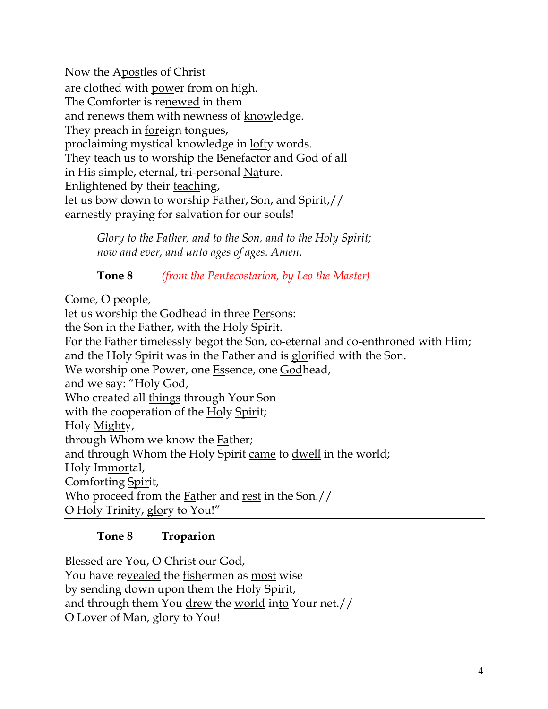Now the Apostles of Christ are clothed with power from on high. The Comforter is renewed in them and renews them with newness of knowledge. They preach in foreign tongues, proclaiming mystical knowledge in lofty words. They teach us to worship the Benefactor and God of all in His simple, eternal, tri-personal Nature. Enlightened by their teaching, let us bow down to worship Father, Son, and Spirit,// earnestly praying for salvation for our souls!

> *Glory to the Father, and to the Son, and to the Holy Spirit; now and ever, and unto ages of ages. Amen.*

> **Tone 8** *(from the Pentecostarion, by Leo the Master)*

Come, O people,

let us worship the Godhead in three Persons: the Son in the Father, with the Holy Spirit. For the Father timelessly begot the Son, co-eternal and co-enthroned with Him; and the Holy Spirit was in the Father and is glorified with the Son. We worship one Power, one Essence, one Godhead, and we say: "Holy God, Who created all things through Your Son with the cooperation of the Holy Spirit; Holy Mighty, through Whom we know the Father; and through Whom the Holy Spirit came to dwell in the world; Holy Immortal, Comforting Spirit, Who proceed from the Father and rest in the Son.// O Holy Trinity, glory to You!"

# **Tone 8 Troparion**

Blessed are You, O Christ our God, You have revealed the fishermen as most wise by sending down upon them the Holy Spirit, and through them You drew the world into Your net.// O Lover of Man, glory to You!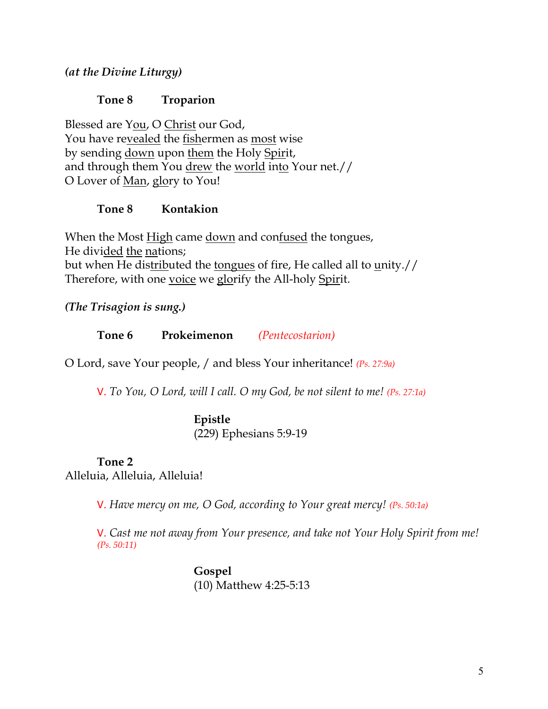*(at the Divine Liturgy)*

### **Tone 8 Troparion**

Blessed are You, O Christ our God, You have revealed the fishermen as most wise by sending down upon them the Holy Spirit, and through them You drew the world into Your net.// O Lover of Man, glory to You!

### **Tone 8 Kontakion**

When the Most High came down and confused the tongues, He divided the nations; but when He distributed the tongues of fire, He called all to unity.// Therefore, with one voice we glorify the All-holy Spirit.

*(The Trisagion is sung.)*

**Tone 6 Prokeimenon** *(Pentecostarion)*

O Lord, save Your people, / and bless Your inheritance! *(Ps. 27:9a)*

V. *To You, O Lord, will I call. O my God, be not silent to me! (Ps. 27:1a)*

### **Epistle**

(229) Ephesians 5:9-19

#### **Tone 2**

Alleluia, Alleluia, Alleluia!

V. *Have mercy on me, O God, according to Your great mercy! (Ps. 50:1a)*

V. *Cast me not away from Your presence, and take not Your Holy Spirit from me! (Ps. 50:11)*

> **Gospel** (10) Matthew 4:25-5:13